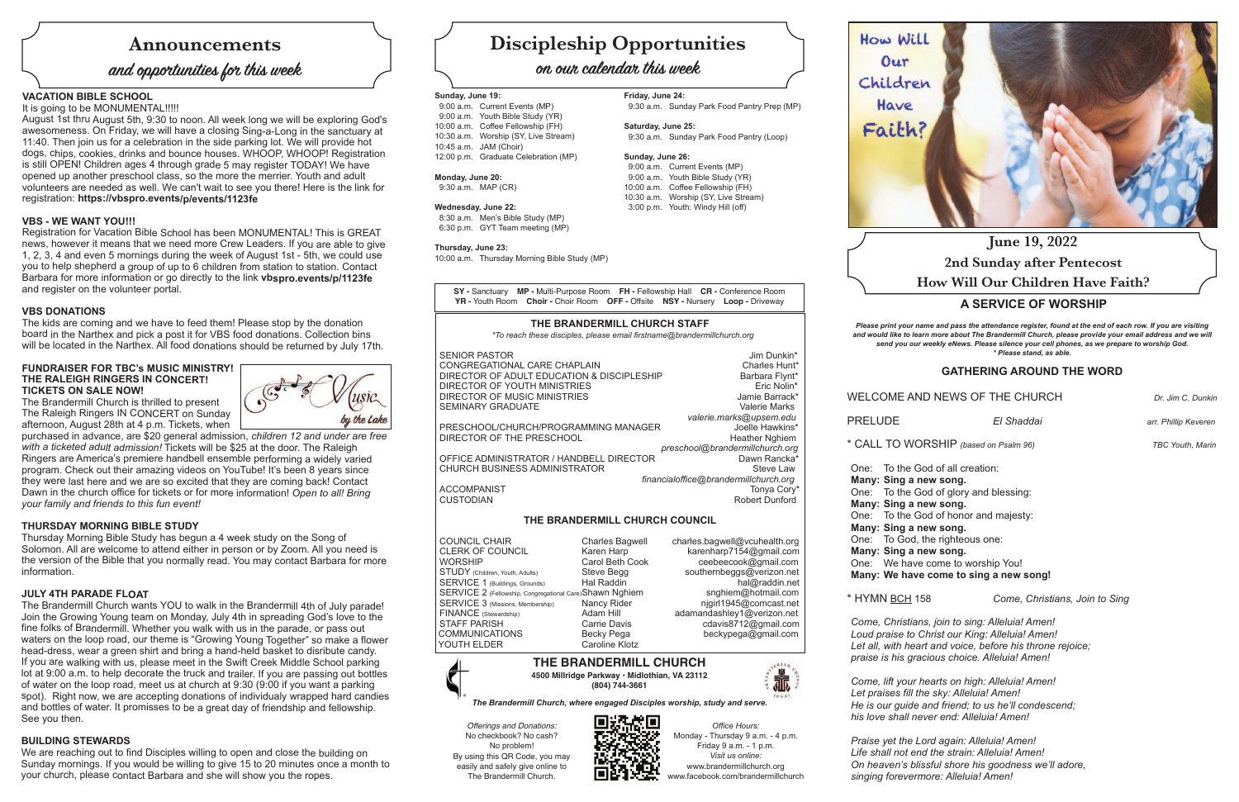# **Announcements**

# **and opportunities for this week**

# **Discipleship Opportunities**

# **on our calendar this week**

*Please print your name and pass the attendance register, found at the end of each row. If you are visiting and would like to learn more about The Brandermill Church, please provide your email address and we will send you our weekly eNews. Please silence your cell phones, as we prepare to worship God. \* Please stand, as able.*

# **GATHERING AROUND THE WORD**

WELCOME AND NEWS OF THE CHURCH *Dr. Jim C. Dunkin*

PRELUDE *El Shaddai arr. Phillip Keveren*

\* CALL TO WORSHIP *(based on Psalm 96) TBC Youth, Marin*

**Many: Sing a new song. Many: Sing a new song. Many: Sing a new song. Many: Sing a new song.**

One: To the God of all creation: One: To the God of glory and blessing: One: To the God of honor and majesty: One: To God, the righteous one: One: We have come to worship You! **Many: We have come to sing a new song!**

\* HYMN BCH 158 *Come, Christians, Join to Sing*

*Come, Christians, join to sing: Alleluia! Amen! Loud praise to Christ our King: Alleluia! Amen! Let all, with heart and voice, before his throne rejoice; praise is his gracious choice. Alleluia! Amen!*

*Come, lift your hearts on high: Alleluia! Amen! Let praises fill the sky: Alleluia! Amen! He is our guide and friend; to us he'll condescend; his love shall never end: Alleluia! Amen!*

# **A SERVICE OF WORSHIP June 19, 2022 2nd Sunday after Pentecost How Will Our Children Have Faith?**

*Praise yet the Lord again: Alleluia! Amen! Life shall not end the strain: Alleluia! Amen! On heaven's blissful shore his goodness we'll adore, singing forevermore: Alleluia! Amen!*





**Friday, June 24:**

9:30 a.m. Sunday Park Food Pantry Prep (MP)

**Saturday, June 25:**

9:30 a.m. Sunday Park Food Pantry (Loop)

**Sunday, June 26:** 

 9:00 a.m. Current Events (MP) 9:00 a.m. Youth Bible Study (YR) 10:00 a.m. Coffee Fellowship (FH) 10:30 a.m. Worship (SY, Live Stream) 3:00 p.m. Youth: Windy Hill (off)

### **Sunday, June 19:**

 9:00 a.m. Current Events (MP) 9:00 a.m. Youth Bible Study (YR) 10:00 a.m. Coffee Fellowship (FH) 10:30 a.m. Worship (SY, Live Stream) 10:45 a.m. JAM (Choir) 12:00 p.m. Graduate Celebration (MP)

#### **Monday, June 20:**

9:30 a.m. MAP (CR)

#### **Wednesday, June 22:**

8:30 a.m. Men's Bible Study (MP) 6:30 p.m. GYT Team meeting (MP)

#### **Thursday, June 23:**

10:00 a.m. Thursday Morning Bible Study (MP)

**SY -** Sanctuary **MP -** Multi-Purpose Room **FH -** Fellowship Hall **CR -** Conference Room **YR -** Youth Room **Choir -** Choir Room **OFF -** Offsite **NSY -** Nursery **Loop -** Driveway

> *Office Hours:* Monday - Thursday 9 a.m. - 4 p.m. Friday 9 a.m. - 1 p.m. *Visit us online:* www.brandermillchurch.org www.facebook.com/brandermillchurch

# How Will  $0<sub>ur</sub>$ Children Have Faith?



### **VACATION BIBLE SCHOOL**

It is going to be MONUMENTAL!!!!!

August 1st thru August 5th, 9:30 to noon. All week long we will be exploring God's awesomeness. On Friday, we will have a closing Sing-a-Long in the sanctuary at 11:40. Then join us for a celebration in the side parking lot. We will provide hot dogs, chips, cookies, drinks and bounce houses. WHOOP, WHOOP! Registration is still OPEN! Children ages 4 through grade 5 may register TODAY! We have opened up another preschool class, so the more the merrier. Youth and adult volunteers are needed as well. We can't wait to see you there! Here is the link for registration: **https://vbspro.events/p/events/1123fe**

### **VBS - WE WANT YOU!!!**

Registration for Vacation Bible School has been MONUMENTAL! This is GREAT news, however it means that we need more Crew Leaders. If you are able to give 1, 2, 3, 4 and even 5 mornings during the week of August 1st - 5th, we could use you to help shepherd a group of up to 6 children from station to station. Contact Barbara for more information or go directly to the link **vbspro.events/p/1123fe** and register on the volunteer portal.

### **VBS DONATIONS**

The kids are coming and we have to feed them! Please stop by the donation board in the Narthex and pick a post it for VBS food donations. Collection bins will be located in the Narthex. All food donations should be returned by July 17th.

#### **FUNDRAISER FOR TBC's MUSIC MINISTRY! THE RALEIGH RINGERS IN CONCERT! TICKETS ON SALE NOW!**

The Brandermill Church is thrilled to present The Raleigh Ringers IN CONCERT on Sunday afternoon, August 28th at 4 p.m. Tickets, when



purchased in advance, are \$20 general admission, *children 12 and under are free with a ticketed adult admission!* Tickets will be \$25 at the door. The Raleigh Ringers are America's premiere handbell ensemble performing a widely varied program. Check out their amazing videos on YouTube! It's been 8 years since they were last here and we are so excited that they are coming back! Contact Dawn in the church office for tickets or for more information! *Open to all! Bring your family and friends to this fun event!*

### **THURSDAY MORNING BIBLE STUDY**

Thursday Morning Bible Study has begun a 4 week study on the Song of Solomon. All are welcome to attend either in person or by Zoom. All you need is the version of the Bible that you normally read. You may contact Barbara for more information.

#### **JULY 4TH PARADE FLOAT**

The Brandermill Church wants YOU to walk in the Brandermill 4th of July parade! Join the Growing Young team on Monday, July 4th in spreading God's love to the fine folks of Brandermill. Whether you walk with us in the parade, or pass out waters on the loop road, our theme is "Growing Young Together" so make a flower head-dress, wear a green shirt and bring a hand-held basket to disribute candy. If you are walking with us, please meet in the Swift Creek Middle School parking lot at 9:00 a.m. to help decorate the truck and trailer. If you are passing out bottles of water on the loop road, meet us at church at 9:30 (9:00 if you want a parking spot). Right now, we are accepting donations of individualy wrapped hard candies and bottles of water. It promisses to be a great day of friendship and fellowship. See you then.

### **BUILDING STEWARDS**

We are reaching out to find Disciples willing to open and close the building on Sunday mornings. If you would be willing to give 15 to 20 minutes once a month to your church, please contact Barbara and she will show you the ropes.



*Offerings and Donations:* No checkbook? No cash? No problem! By using this QR Code, you may easily and safely give online to The Brandermill Church.

광終